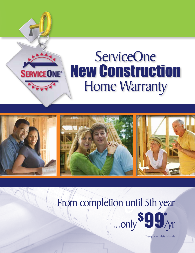

# **ServiceOne New Construction Home Warranty**



# From completion until 5th year



\*see pricing details inside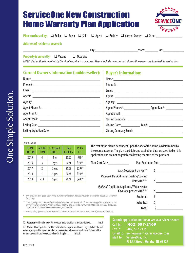| <b>ServiceOne New Construction</b>    |  |
|---------------------------------------|--|
| <b>Home Warranty Plan Application</b> |  |



| <b>Plan purchased by:</b> $\Box$ Seller $\Box$ Buyer $\Box$ Split $\Box$ Agent $\Box$ Builder $\Box$ Current Owner $\Box$ Other |  |  |  |  |
|---------------------------------------------------------------------------------------------------------------------------------|--|--|--|--|
|                                                                                                                                 |  |  |  |  |

## **Address of residence covered:**

| <b>Property is currently:</b> | $\Box$ Vacant | $\Box$ Occupied |
|-------------------------------|---------------|-----------------|

*NOTE: Evaluation is required by ServiceOne prior to coverage. Please include any contact information necessary to schedule evaluation.* 

\_\_\_\_\_\_\_\_\_\_\_\_\_\_\_\_\_\_\_\_\_\_\_\_\_\_\_\_\_\_\_\_\_\_\_ City:\_\_\_\_\_\_\_\_\_\_\_\_\_\_\_\_\_\_\_\_\_\_\_State: \_\_\_\_\_\_\_ Zip:\_\_\_\_\_\_\_\_\_\_\_

## **Current Owner's Information (builder/seller): Buyer's Information:**

| Phone #: ________________________                                                                                                                                                                                                    |
|--------------------------------------------------------------------------------------------------------------------------------------------------------------------------------------------------------------------------------------|
|                                                                                                                                                                                                                                      |
| Agent: <u>Agent</u> : Agent: Agent: Agent: Agent: Agent: Agent: Agent: Agent: Agent: Agent: Agent: Agent: Agent: Agent: Agent: Agent: Agent: Agent: Agent: Agent: Agent: Agent: Agent: Agent: Agent: Agent: Agent: Agent: Agent: Age |
|                                                                                                                                                                                                                                      |
|                                                                                                                                                                                                                                      |
|                                                                                                                                                                                                                                      |
|                                                                                                                                                                                                                                      |
|                                                                                                                                                                                                                                      |
|                                                                                                                                                                                                                                      |
|                                                                                                                                                                                                                                      |

### As of 1/1/2019:

| <b>HOME</b><br><b>BUILT IN</b> | AGE OF<br><b>HOME</b> | <b>COVERAGE</b><br><b>LENGTH</b> | <b>PLAN</b><br><b>EXPIRES</b> | <b>PLAN</b><br><b>FEE</b> |
|--------------------------------|-----------------------|----------------------------------|-------------------------------|---------------------------|
| 2015                           | 4                     | 1 yr.                            | 2020                          | \$99*                     |
| 2016                           | 3                     | 2 yrs                            | 2021                          | \$198*                    |
| 2017                           | $\mathfrak{I}$        | 3 yrs.                           | 2022                          | \$297*                    |
| 2018                           |                       | 4 yrs.                           | 2023                          | \$396*                    |
| 2019                           | < 1                   | 5 yrs.                           | 2024                          | \$495*                    |

The cost of the plan is dependent upon the age of the home, as determined by the county assessor. The plan start date and expiration date are specified on this application and are not negotiable following the start of the program.

| Plan Expiration Date                                                  | Plan Start Date                                                                                                                                                                                                              | $$198*$ | 2021 | 2 yrs  |     | 2016         |
|-----------------------------------------------------------------------|------------------------------------------------------------------------------------------------------------------------------------------------------------------------------------------------------------------------------|---------|------|--------|-----|--------------|
|                                                                       |                                                                                                                                                                                                                              | $$297*$ | 2022 | 3 yrs. |     | 2017         |
| Basic Coverage Plan Fee**<br>Required: Per Additional Heating/Cooling |                                                                                                                                                                                                                              | $$396*$ | 2023 | 4 yrs. |     | 2018         |
| Unit \$100***                                                         |                                                                                                                                                                                                                              | $$495*$ | 2024 | 5 yrs. | < 1 | 2019         |
| Coverage per set \$100***                                             | Optional: Duplicate Appliance/Water Heater                                                                                                                                                                                   |         |      |        |     |              |
| Subtotal:                                                             | This pricing is only good upon initial purchase of the plan. For continuation of the plan, please call the office                                                                                                            |         |      |        |     | for pricing. |
| Sales Tax:                                                            | ** Basic coverage includes one heating/cooling system and one each of the covered appliances located in the<br>primary kitchen/laundry. If more than one heating and cooling system exists, additional coverage is required. |         |      |        |     |              |
| Total                                                                 | Duplicate Appliance/Water Heater coverage is optional.                                                                                                                                                                       |         |      |        |     |              |
|                                                                       | *** Additional equipment whether required or optional is a one time add-on fee at time of purchase, not yearly                                                                                                               |         |      |        |     |              |

*\*\*\*Additional equipment whether required or optional is a one time add-on fee at time of purchase, not yearly.*

#### **a Acceptance** I hereby apply for coverage under the Plan as indicated above. \_\_\_\_ initial

**J** Waiver I hereby decline the Plan which has been presented to me. I agree to hold the real estate agency and its agents harmless in the event of subsequent mechanical failures which otherwise would have been covered under this plan. \_\_\_\_ initial

| Submit application online at www.serviceone.com |
|-------------------------------------------------|
| Call In: (402) 597-2169                         |
| Fax To: (402) 597-2115                          |
| Email To: homewarranty@serviceone.com           |
| Mail To: ServiceOne, Inc.                       |
| 9335 J Street, Omaha, NE 68127                  |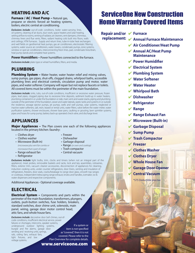## HEATING AND A/C

Furnace / AC / Heat Pump - Natural gas, propane or electric forced air heating systems, boilers, electric central air conditioning.

**Exclusions include:** out-of-code conditions, boiler water-carrying lines, oil systems, cleaning of air ducts, duct work, space heaters and solar heating, setting airflow to rooms, venting of radiator, air cleaners, vent dampers, chimneys, chimney liners and flue vents, filters, radiant heating coils built into floors, walls and ceilings, HTM furnaces. Supply and return lines, tube-in-tube heat exchangers and well fields on geothermal heat pumps, gas air conditioners, electrostatic filtering systems, water source air conditioners, water towers, condensate pumps, zone systems, window or spot air conditioners, interconnecting freon lines, pad, condensate lines/drain, heat pump stands and complete heat systems.

**Power Humidifiers – Power humidifiers connected to the furnace.** 

**Exclusions include:** plate-type or wheel humidifiers, filters, and media.

## PLUMBING

**Plumbing System –** Water heater, water heater relief and mixing valves, sump pumps, gas pipes, shut-offs, clogged drains, whirlpool baths, accessible plumbing lines and electrical controls, circulation pump and motor, water pipes, and water softener. Company will repair but not replace faucets or toilets. All covered items must be within the perimeter of the main foundation.

*Exclusions include:* sinks, tubs, out-of-code conditions, insufficient or excessive water pressure, frozen pipes, lead pipes, clogged piping due to excessive lime deposits, sediment build-up in water heaters, plumbing contained in or under the foundation or slab, main vent-and-waste stacks, piping and plumbing outside of the perimeter of the foundation, sewer and water laterals, septic tanks and systems in or outside the residence, sewage ejector pumps, jet pumps, wells and well pumps, solar systems, neglected or inactive water softeners, salt, resin, leased or rental units, water filters, valve before the water meter, water purification systems, shower enclosures, shower base pans, caulking or grouting, lawn sprinkler systems, pipes and hoses for sump pump, battery back-up operated check valve, and discharge lever.

## APPLIANCES

**Major Appliances -** The Plan covers one each of the following appliances located in the primary kitchen /laundry:

- Clothes dryer Freezer
- Clothes washer Dishwasher
- Microwave (Built-in) Garbage disposal *(microwave plus vent fan combo or* • Range *(or oven and cooktop)*
- *microwave that is part of range)* Trash compactor • Range exhaust fan
- 
- 
- 
- 
- Refrigerator
- 
- 
- 
- 
- 
- 

**Exclusions include:** light bulbs, trim, clocks and timers (when not an integral part of the appliance), meat probes, removable baskets and racks, lock and key assemblies, rotisseries, filters, exterior trim, vacuum cleaner accessories, disconnection of appliances for cleaning, induction cooking units, under counter refrigerators, door liners, venting and insulation of refrigerators, freezers, door seals, cracks/breakage to range door glass, smooth top ranges or cooktops, independent telescoping range exhaust, knobs and handles, icemaker, ice & water dispensers and respective components.

Additional Appliances - Optional coverage available.

## **ELECTRICAL**

**Electrical System -** Components and parts within the perimeter of the main foundation, transformers, plungers, outlets, push-button switches, fuse holders, breakers, standard switches, door chime unit, solenoids, main panel, wiring, garage door motor control head, attic fans, and whole house fans.

*Exclusions include:* decorative door bell chimes, out-ofcode conditions, insufficient electrical service, power failures or shortages, intercoms, speaker systems, underground outdoor lighting systems, burglar and fire alarms, garage door sending and receiving units, springs, rails, ceiling fans, exhaust fans, light fixtures, and low voltage systems. item is not specified as "covered," then it is not covered. Please refer to the Plan Overview for complete details.

www.serviceone.com

If a system or

## ServiceOne New Construction Home Warranty Covered Items

**Repair and/or ↓ Furnace** 

- 
- 4 **Annual Furnace Maintenance replacement:**
	- 4 **Air Conditioner/Heat Pump**
	- 4 **Annual AC/Heat Pump Maintenance**
	- 4 **Power Humidifier**
	- 4 **Electrical System**
	- 4 **Plumbing System**
	- 4 **Water Softener**
	- **Water Heater**
	- 4 **Whirlpool Bath**
	- 4 **Dishwasher**
	- 4 **Refrigerator**
	- 4 **Range**
	- 4 **Range Exhaust Fan**
	- 4 **Microwave (Built-in)**
	- 4 **Garbage Disposal**
	- 4 **Sump Pump**
	- 4 **Trash Compactor**
	- 4 **Freezer**
	- 4 **Clothes Washer**
	- 4 **Clothes Dryer**
	- 4 **Whole House Fan**
	- 4 **Garage Door Opener**
		- 4 **Central Vacuum**

\*\$75 Deductible plus tax